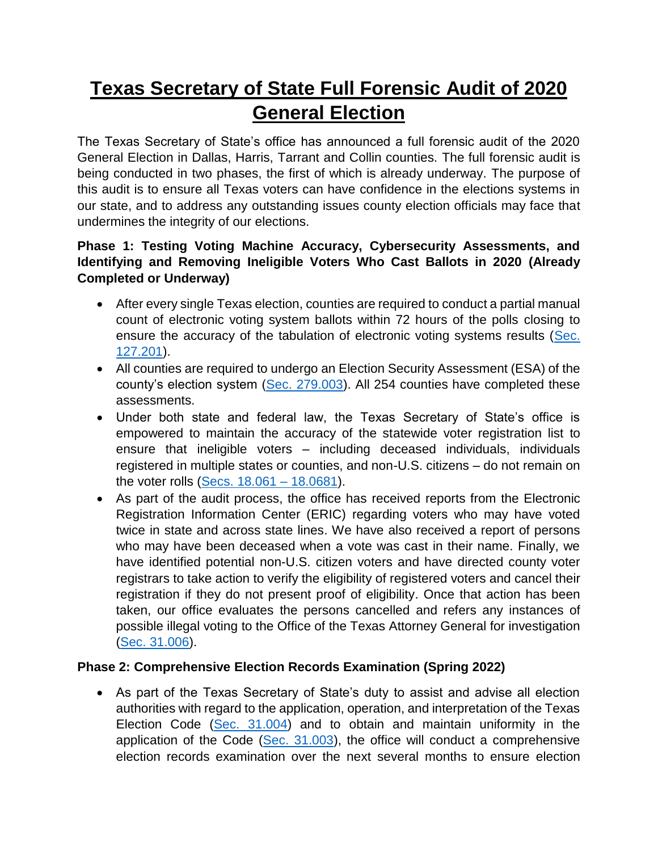## **Texas Secretary of State Full Forensic Audit of 2020 General Election**

The Texas Secretary of State's office has announced a full forensic audit of the 2020 General Election in Dallas, Harris, Tarrant and Collin counties. The full forensic audit is being conducted in two phases, the first of which is already underway. The purpose of this audit is to ensure all Texas voters can have confidence in the elections systems in our state, and to address any outstanding issues county election officials may face that undermines the integrity of our elections.

## **Phase 1: Testing Voting Machine Accuracy, Cybersecurity Assessments, and Identifying and Removing Ineligible Voters Who Cast Ballots in 2020 (Already Completed or Underway)**

- After every single Texas election, counties are required to conduct a partial manual count of electronic voting system ballots within 72 hours of the polls closing to ensure the accuracy of the tabulation of electronic voting systems results (Sec. [127.201\)](https://statutes.capitol.texas.gov/Docs/EL/htm/EL.127.HTM#127.201).
- All counties are required to undergo an Election Security Assessment (ESA) of the county's election system [\(Sec. 279.003\)](https://statutes.capitol.texas.gov/Docs/EL/htm/EL.279.htm#279.003). All 254 counties have completed these assessments.
- Under both state and federal law, the Texas Secretary of State's office is empowered to maintain the accuracy of the statewide voter registration list to ensure that ineligible voters – including deceased individuals, individuals registered in multiple states or counties, and non-U.S. citizens – do not remain on the voter rolls (Secs.  $18.061 - 18.0681$ ).
- As part of the audit process, the office has received reports from the Electronic Registration Information Center (ERIC) regarding voters who may have voted twice in state and across state lines. We have also received a report of persons who may have been deceased when a vote was cast in their name. Finally, we have identified potential non-U.S. citizen voters and have directed county voter registrars to take action to verify the eligibility of registered voters and cancel their registration if they do not present proof of eligibility. Once that action has been taken, our office evaluates the persons cancelled and refers any instances of possible illegal voting to the Office of the Texas Attorney General for investigation [\(Sec. 31.006\)](https://statutes.capitol.texas.gov/docs/EL/htm/EL.31.htm#31.006).

## **Phase 2: Comprehensive Election Records Examination (Spring 2022)**

 As part of the Texas Secretary of State's duty to assist and advise all election authorities with regard to the application, operation, and interpretation of the Texas Election Code [\(Sec. 31.004\)](https://statutes.capitol.texas.gov/docs/EL/htm/EL.31.htm#31.004) and to obtain and maintain uniformity in the application of the Code [\(Sec. 31.003\)](https://statutes.capitol.texas.gov/docs/EL/htm/EL.31.htm#31.003), the office will conduct a comprehensive election records examination over the next several months to ensure election